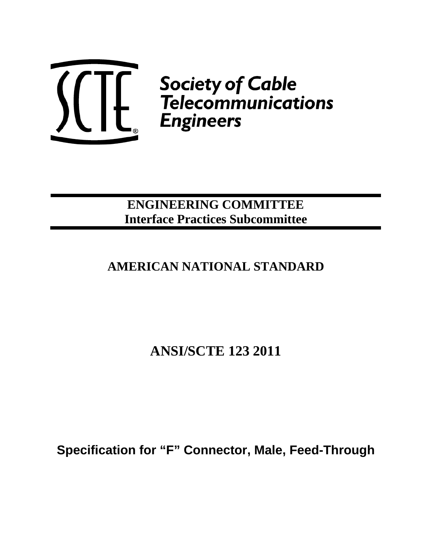

 $\left(\begin{matrix} 1 & 1 \ 1 & 1 \end{matrix}\right)$   $\left(\begin{matrix} 1 & 1 \ 1 & 1 \end{matrix}\right)$   $\left(\begin{matrix} 1 & 1 \ 1 & 1 \end{matrix}\right)$   $\left(\begin{matrix} 1 & 1 \ 1 & 1 \end{matrix}\right)$   $\left(\begin{matrix} 1 & 1 \ 1 & 1 \end{matrix}\right)$   $\left(\begin{matrix} 1 & 1 \ 1 & 1 \end{matrix}\right)$   $\left(\begin{matrix} 1 & 1 \ 1 & 1 \end{matrix}\right)$   $\left(\begin{matrix} 1 & 1 \ 1 & 1 \end{matrix}\right$ 

# **ENGINEERING COMMITTEE Interface Practices Subcommittee**

# **AMERICAN NATIONAL STANDARD**

**ANSI/SCTE 123 2011** 

**Specification for "F" Connector, Male, Feed-Through**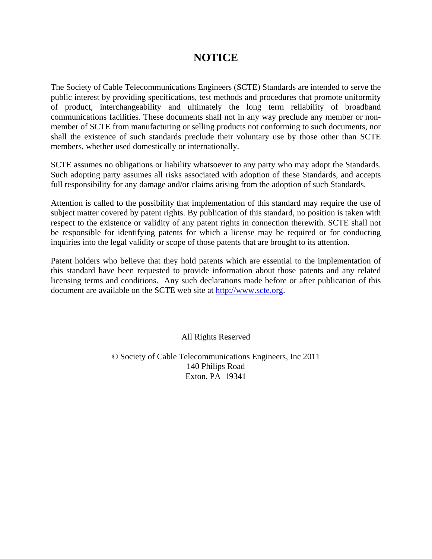# **NOTICE**

The Society of Cable Telecommunications Engineers (SCTE) Standards are intended to serve the public interest by providing specifications, test methods and procedures that promote uniformity of product, interchangeability and ultimately the long term reliability of broadband communications facilities. These documents shall not in any way preclude any member or nonmember of SCTE from manufacturing or selling products not conforming to such documents, nor shall the existence of such standards preclude their voluntary use by those other than SCTE members, whether used domestically or internationally.

SCTE assumes no obligations or liability whatsoever to any party who may adopt the Standards. Such adopting party assumes all risks associated with adoption of these Standards, and accepts full responsibility for any damage and/or claims arising from the adoption of such Standards.

Attention is called to the possibility that implementation of this standard may require the use of subject matter covered by patent rights. By publication of this standard, no position is taken with respect to the existence or validity of any patent rights in connection therewith. SCTE shall not be responsible for identifying patents for which a license may be required or for conducting inquiries into the legal validity or scope of those patents that are brought to its attention.

Patent holders who believe that they hold patents which are essential to the implementation of this standard have been requested to provide information about those patents and any related licensing terms and conditions. Any such declarations made before or after publication of this document are available on the SCTE web site at [http://www.scte.org](http://www.scte.org/).

All Rights Reserved

© Society of Cable Telecommunications Engineers, Inc 2011 140 Philips Road Exton, PA 19341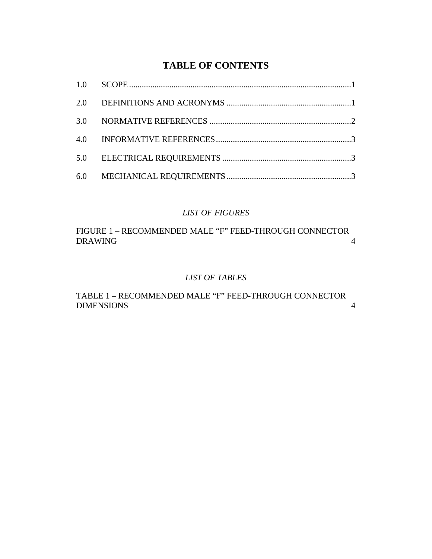# **TABLE OF CONTENTS**

# *LIST OF FIGURES*

[FIGURE 1 – RECOMMENDED MALE "F" FEED-THROUGH CONNECTOR](#page-6-0)  [DRAWING 4](#page-6-0)

## *LIST OF TABLES*

[TABLE 1 – RECOMMENDED MALE "F" FEED-THROUGH CONNECTOR](#page-6-0)  [DIMENSIONS 4](#page-6-0)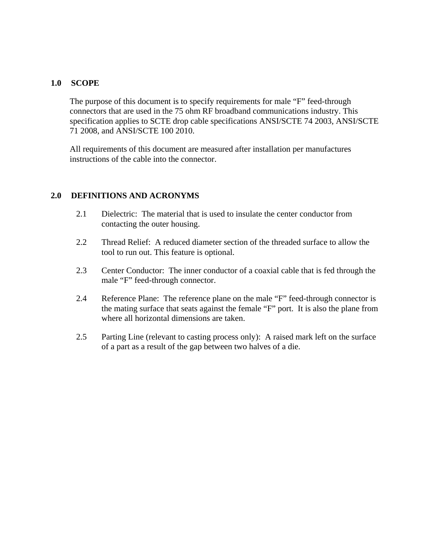#### <span id="page-3-0"></span>**1.0 SCOPE**

The purpose of this document is to specify requirements for male "F" feed-through connectors that are used in the 75 ohm RF broadband communications industry. This specification applies to SCTE drop cable specifications ANSI/SCTE 74 2003, ANSI/SCTE 71 2008, and ANSI/SCTE 100 2010.

All requirements of this document are measured after installation per manufactures instructions of the cable into the connector.

## **2.0 DEFINITIONS AND ACRONYMS**

- 2.1 Dielectric: The material that is used to insulate the center conductor from contacting the outer housing.
- 2.2 Thread Relief: A reduced diameter section of the threaded surface to allow the tool to run out. This feature is optional.
- 2.3 Center Conductor: The inner conductor of a coaxial cable that is fed through the male "F" feed-through connector.
- 2.4 Reference Plane: The reference plane on the male "F" feed-through connector is the mating surface that seats against the female "F" port. It is also the plane from where all horizontal dimensions are taken.
- 2.5 Parting Line (relevant to casting process only): A raised mark left on the surface of a part as a result of the gap between two halves of a die.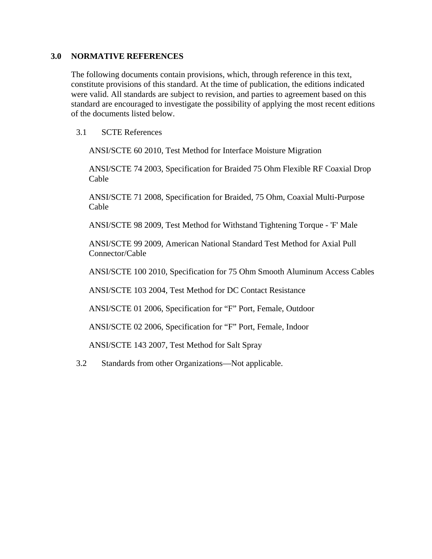#### <span id="page-4-0"></span>**3.0 NORMATIVE REFERENCES**

The following documents contain provisions, which, through reference in this text, constitute provisions of this standard. At the time of publication, the editions indicated were valid. All standards are subject to revision, and parties to agreement based on this standard are encouraged to investigate the possibility of applying the most recent editions of the documents listed below.

#### 3.1 SCTE References

ANSI/SCTE 60 2010, Test Method for Interface Moisture Migration

ANSI/SCTE 74 2003, Specification for Braided 75 Ohm Flexible RF Coaxial Drop Cable

ANSI/SCTE 71 2008, Specification for Braided, 75 Ohm, Coaxial Multi-Purpose Cable

ANSI/SCTE 98 2009, Test Method for Withstand Tightening Torque - 'F' Male

ANSI/SCTE 99 2009, American National Standard Test Method for Axial Pull Connector/Cable

ANSI/SCTE 100 2010, Specification for 75 Ohm Smooth Aluminum Access Cables

ANSI/SCTE 103 2004, Test Method for DC Contact Resistance

ANSI/SCTE 01 2006, Specification for "F" Port, Female, Outdoor

ANSI/SCTE 02 2006, Specification for "F" Port, Female, Indoor

ANSI/SCTE 143 2007, Test Method for Salt Spray

3.2 Standards from other Organizations—Not applicable.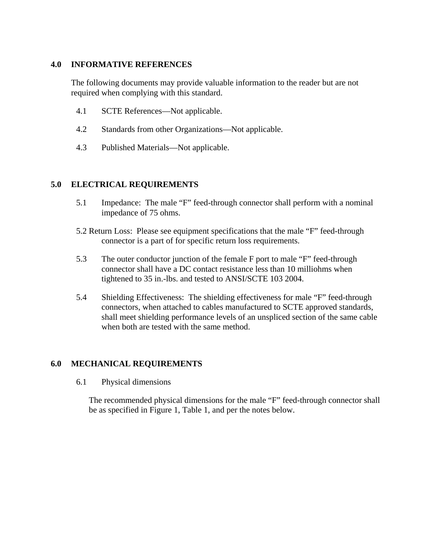#### <span id="page-5-0"></span>**4.0 INFORMATIVE REFERENCES**

The following documents may provide valuable information to the reader but are not required when complying with this standard.

- 4.1 SCTE References—Not applicable.
- 4.2 Standards from other Organizations—Not applicable.
- 4.3 Published Materials—Not applicable.

#### **5.0 ELECTRICAL REQUIREMENTS**

- 5.1 Impedance: The male "F" feed-through connector shall perform with a nominal impedance of 75 ohms.
- 5.2 Return Loss: Please see equipment specifications that the male "F" feed-through connector is a part of for specific return loss requirements.
- 5.3 The outer conductor junction of the female F port to male "F" feed-through connector shall have a DC contact resistance less than 10 milliohms when tightened to 35 in.-lbs. and tested to ANSI/SCTE 103 2004.
- 5.4 Shielding Effectiveness: The shielding effectiveness for male "F" feed-through connectors, when attached to cables manufactured to SCTE approved standards, shall meet shielding performance levels of an unspliced section of the same cable when both are tested with the same method.

## **6.0 MECHANICAL REQUIREMENTS**

6.1 Physical dimensions

The recommended physical dimensions for the male "F" feed-through connector shall be as specified in Figure 1, Table 1, and per the notes below.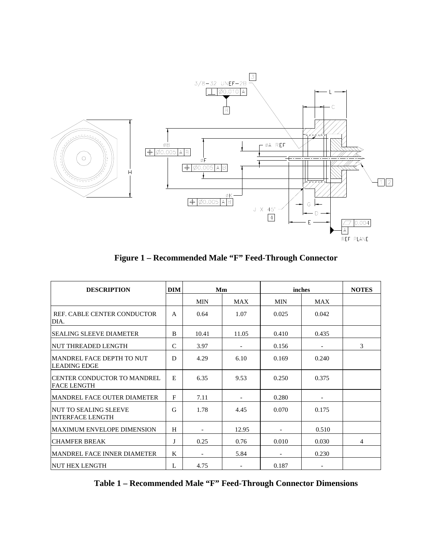<span id="page-6-0"></span>

**Figure 1 – Recommended Male "F" Feed-Through Connector** 

| <b>DESCRIPTION</b>                                      |               | <b>DIM</b><br>Mm             |            | inches     |            | <b>NOTES</b> |
|---------------------------------------------------------|---------------|------------------------------|------------|------------|------------|--------------|
|                                                         |               | <b>MIN</b>                   | <b>MAX</b> | <b>MIN</b> | <b>MAX</b> |              |
| REF. CABLE CENTER CONDUCTOR<br>DIA.                     | $\mathsf{A}$  | 0.64                         | 1.07       | 0.025      | 0.042      |              |
| <b>SEALING SLEEVE DIAMETER</b>                          | B             | 10.41                        | 11.05      | 0.410      | 0.435      |              |
| NUT THREADED LENGTH                                     | $\mathcal{C}$ | 3.97                         |            | 0.156      |            | 3            |
| MANDREL FACE DEPTH TO NUT<br>LEADING EDGE               | D             | 4.29                         | 6.10       | 0.169      | 0.240      |              |
| CENTER CONDUCTOR TO MANDREL<br><b>FACE LENGTH</b>       | E             | 6.35                         | 9.53       | 0.250      | 0.375      |              |
| <b>MANDREL FACE OUTER DIAMETER</b>                      | F             | 7.11                         |            | 0.280      |            |              |
| <b>NUT TO SEALING SLEEVE</b><br><b>INTERFACE LENGTH</b> | G             | 1.78                         | 4.45       | 0.070      | 0.175      |              |
| <b>MAXIMUM ENVELOPE DIMENSION</b>                       | H             | $\overline{\phantom{a}}$     | 12.95      |            | 0.510      |              |
| <b>CHAMFER BREAK</b>                                    | J             | 0.25                         | 0.76       | 0.010      | 0.030      | 4            |
| <b>MANDREL FACE INNER DIAMETER</b>                      | K             | $\qquad \qquad \blacksquare$ | 5.84       |            | 0.230      |              |
| <b>NUT HEX LENGTH</b>                                   | L             | 4.75                         |            | 0.187      |            |              |

**Table 1 – Recommended Male "F" Feed-Through Connector Dimensions**